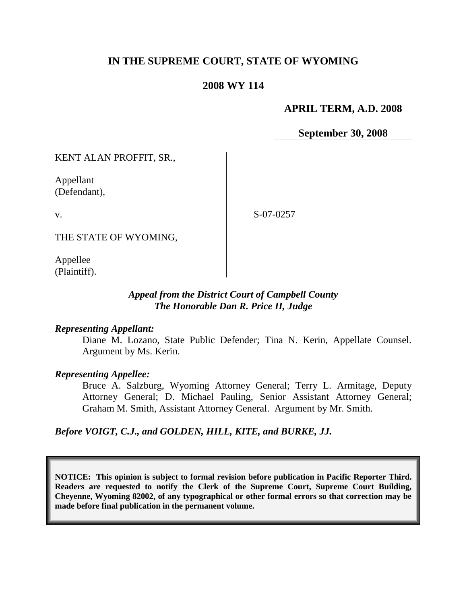## **IN THE SUPREME COURT, STATE OF WYOMING**

#### **2008 WY 114**

#### **APRIL TERM, A.D. 2008**

**September 30, 2008**

KENT ALAN PROFFIT, SR.,

Appellant (Defendant),

v.

S-07-0257

THE STATE OF WYOMING,

Appellee (Plaintiff).

#### *Appeal from the District Court of Campbell County The Honorable Dan R. Price II, Judge*

#### *Representing Appellant:*

Diane M. Lozano, State Public Defender; Tina N. Kerin, Appellate Counsel. Argument by Ms. Kerin.

#### *Representing Appellee:*

Bruce A. Salzburg, Wyoming Attorney General; Terry L. Armitage, Deputy Attorney General; D. Michael Pauling, Senior Assistant Attorney General; Graham M. Smith, Assistant Attorney General. Argument by Mr. Smith.

*Before VOIGT, C.J., and GOLDEN, HILL, KITE, and BURKE, JJ.*

**NOTICE: This opinion is subject to formal revision before publication in Pacific Reporter Third. Readers are requested to notify the Clerk of the Supreme Court, Supreme Court Building, Cheyenne, Wyoming 82002, of any typographical or other formal errors so that correction may be made before final publication in the permanent volume.**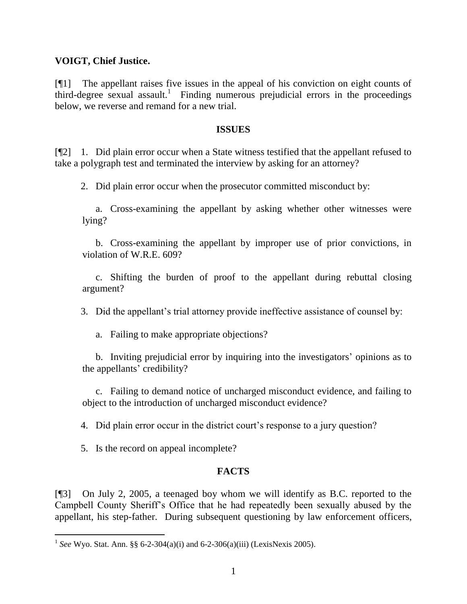#### **VOIGT, Chief Justice.**

[¶1] The appellant raises five issues in the appeal of his conviction on eight counts of third-degree sexual assault.<sup>1</sup> Finding numerous prejudicial errors in the proceedings below, we reverse and remand for a new trial.

#### **ISSUES**

[¶2] 1. Did plain error occur when a State witness testified that the appellant refused to take a polygraph test and terminated the interview by asking for an attorney?

2. Did plain error occur when the prosecutor committed misconduct by:

a. Cross-examining the appellant by asking whether other witnesses were lying?

b. Cross-examining the appellant by improper use of prior convictions, in violation of W.R.E. 609?

c. Shifting the burden of proof to the appellant during rebuttal closing argument?

3. Did the appellant's trial attorney provide ineffective assistance of counsel by:

a. Failing to make appropriate objections?

b. Inviting prejudicial error by inquiring into the investigators' opinions as to the appellants' credibility?

c. Failing to demand notice of uncharged misconduct evidence, and failing to object to the introduction of uncharged misconduct evidence?

4. Did plain error occur in the district court's response to a jury question?

5. Is the record on appeal incomplete?

 $\overline{a}$ 

## **FACTS**

[¶3] On July 2, 2005, a teenaged boy whom we will identify as B.C. reported to the Campbell County Sheriff's Office that he had repeatedly been sexually abused by the appellant, his step-father. During subsequent questioning by law enforcement officers,

<sup>&</sup>lt;sup>1</sup> See Wyo. Stat. Ann. §§ 6-2-304(a)(i) and 6-2-306(a)(iii) (LexisNexis 2005).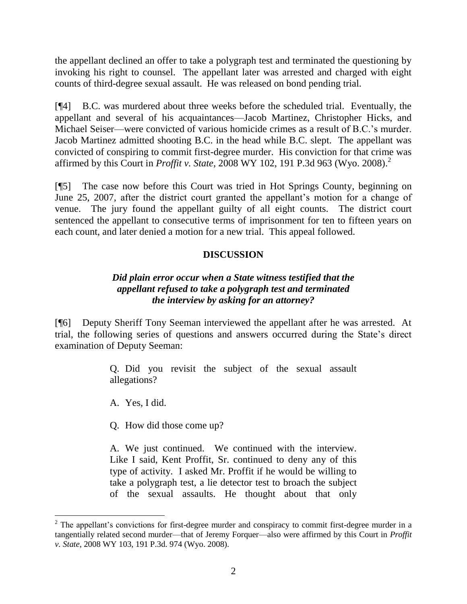the appellant declined an offer to take a polygraph test and terminated the questioning by invoking his right to counsel. The appellant later was arrested and charged with eight counts of third-degree sexual assault. He was released on bond pending trial.

[¶4] B.C. was murdered about three weeks before the scheduled trial. Eventually, the appellant and several of his acquaintances—Jacob Martinez, Christopher Hicks, and Michael Seiser—were convicted of various homicide crimes as a result of B.C.'s murder. Jacob Martinez admitted shooting B.C. in the head while B.C. slept. The appellant was convicted of conspiring to commit first-degree murder. His conviction for that crime was affirmed by this Court in *Proffit v. State*, 2008 WY 102, 191 P.3d 963 (Wyo. 2008). 2

[¶5] The case now before this Court was tried in Hot Springs County, beginning on June 25, 2007, after the district court granted the appellant's motion for a change of venue. The jury found the appellant guilty of all eight counts. The district court sentenced the appellant to consecutive terms of imprisonment for ten to fifteen years on each count, and later denied a motion for a new trial. This appeal followed.

## **DISCUSSION**

## *Did plain error occur when a State witness testified that the appellant refused to take a polygraph test and terminated the interview by asking for an attorney?*

[¶6] Deputy Sheriff Tony Seeman interviewed the appellant after he was arrested. At trial, the following series of questions and answers occurred during the State's direct examination of Deputy Seeman:

> Q. Did you revisit the subject of the sexual assault allegations?

A. Yes, I did.

Q. How did those come up?

A. We just continued. We continued with the interview. Like I said, Kent Proffit, Sr. continued to deny any of this type of activity. I asked Mr. Proffit if he would be willing to take a polygraph test, a lie detector test to broach the subject of the sexual assaults. He thought about that only

<sup>&</sup>lt;sup>2</sup> The appellant's convictions for first-degree murder and conspiracy to commit first-degree murder in a tangentially related second murder—that of Jeremy Forquer—also were affirmed by this Court in *Proffit v. State*, 2008 WY 103, 191 P.3d. 974 (Wyo. 2008).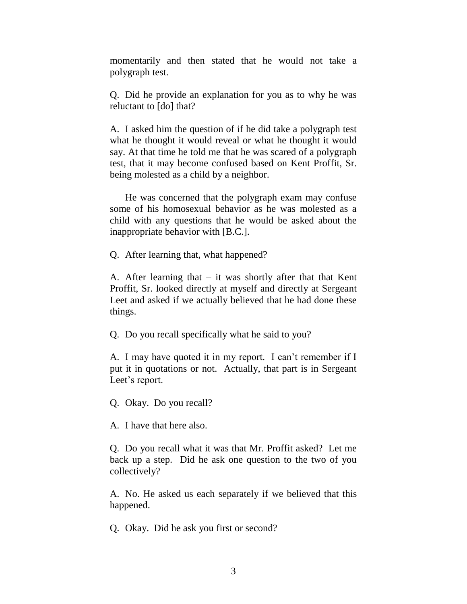momentarily and then stated that he would not take a polygraph test.

Q. Did he provide an explanation for you as to why he was reluctant to [do] that?

A. I asked him the question of if he did take a polygraph test what he thought it would reveal or what he thought it would say. At that time he told me that he was scared of a polygraph test, that it may become confused based on Kent Proffit, Sr. being molested as a child by a neighbor.

He was concerned that the polygraph exam may confuse some of his homosexual behavior as he was molested as a child with any questions that he would be asked about the inappropriate behavior with [B.C.].

Q. After learning that, what happened?

A. After learning that  $-$  it was shortly after that that Kent Proffit, Sr. looked directly at myself and directly at Sergeant Leet and asked if we actually believed that he had done these things.

Q. Do you recall specifically what he said to you?

A. I may have quoted it in my report. I can't remember if I put it in quotations or not. Actually, that part is in Sergeant Leet's report.

Q. Okay. Do you recall?

A. I have that here also.

Q. Do you recall what it was that Mr. Proffit asked? Let me back up a step. Did he ask one question to the two of you collectively?

A. No. He asked us each separately if we believed that this happened.

Q. Okay. Did he ask you first or second?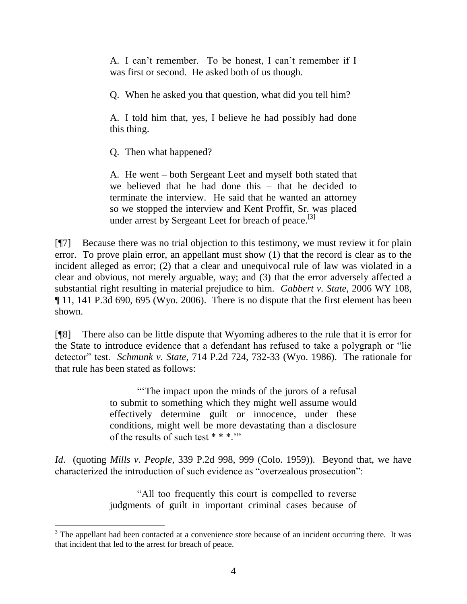A. I can't remember. To be honest, I can't remember if I was first or second. He asked both of us though.

Q. When he asked you that question, what did you tell him?

A. I told him that, yes, I believe he had possibly had done this thing.

Q. Then what happened?

A. He went – both Sergeant Leet and myself both stated that we believed that he had done this – that he decided to terminate the interview. He said that he wanted an attorney so we stopped the interview and Kent Proffit, Sr. was placed under arrest by Sergeant Leet for breach of peace.<sup>[3]</sup>

[¶7] Because there was no trial objection to this testimony, we must review it for plain error. To prove plain error, an appellant must show (1) that the record is clear as to the incident alleged as error; (2) that a clear and unequivocal rule of law was violated in a clear and obvious, not merely arguable, way; and (3) that the error adversely affected a substantial right resulting in material prejudice to him. *Gabbert v. State*, 2006 WY 108, ¶ 11, 141 P.3d 690, 695 (Wyo. 2006). There is no dispute that the first element has been shown.

[¶8] There also can be little dispute that Wyoming adheres to the rule that it is error for the State to introduce evidence that a defendant has refused to take a polygraph or "lie" detector" test. *Schmunk v. State*, 714 P.2d 724, 732-33 (Wyo. 1986). The rationale for that rule has been stated as follows:

> ―‗The impact upon the minds of the jurors of a refusal to submit to something which they might well assume would effectively determine guilt or innocence, under these conditions, might well be more devastating than a disclosure of the results of such test \* \* \*.'"

*Id*. (quoting *Mills v. People*, 339 P.2d 998, 999 (Colo. 1959)). Beyond that, we have characterized the introduction of such evidence as "overzealous prosecution":

> ―All too frequently this court is compelled to reverse judgments of guilt in important criminal cases because of

 $3$  The appellant had been contacted at a convenience store because of an incident occurring there. It was that incident that led to the arrest for breach of peace.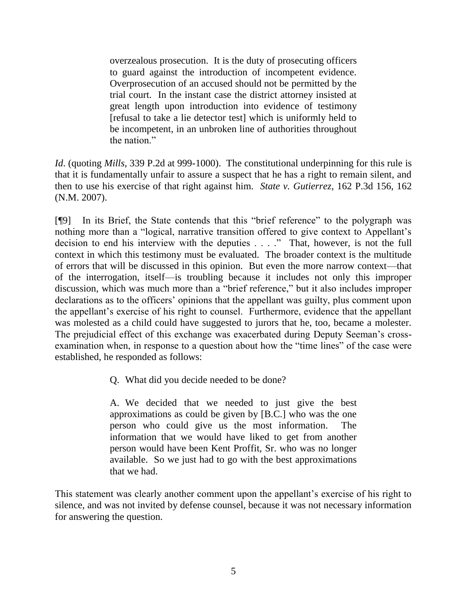overzealous prosecution. It is the duty of prosecuting officers to guard against the introduction of incompetent evidence. Overprosecution of an accused should not be permitted by the trial court. In the instant case the district attorney insisted at great length upon introduction into evidence of testimony [refusal to take a lie detector test] which is uniformly held to be incompetent, in an unbroken line of authorities throughout the nation."

*Id*. (quoting *Mills*, 339 P.2d at 999-1000). The constitutional underpinning for this rule is that it is fundamentally unfair to assure a suspect that he has a right to remain silent, and then to use his exercise of that right against him. *State v. Gutierrez*, 162 P.3d 156, 162 (N.M. 2007).

[¶9] In its Brief, the State contends that this "brief reference" to the polygraph was nothing more than a "logical, narrative transition offered to give context to Appellant's decision to end his interview with the deputies . . . ." That, however, is not the full context in which this testimony must be evaluated. The broader context is the multitude of errors that will be discussed in this opinion. But even the more narrow context—that of the interrogation, itself—is troubling because it includes not only this improper discussion, which was much more than a "brief reference," but it also includes improper declarations as to the officers' opinions that the appellant was guilty, plus comment upon the appellant's exercise of his right to counsel. Furthermore, evidence that the appellant was molested as a child could have suggested to jurors that he, too, became a molester. The prejudicial effect of this exchange was exacerbated during Deputy Seeman's crossexamination when, in response to a question about how the "time lines" of the case were established, he responded as follows:

Q. What did you decide needed to be done?

A. We decided that we needed to just give the best approximations as could be given by [B.C.] who was the one person who could give us the most information. The information that we would have liked to get from another person would have been Kent Proffit, Sr. who was no longer available. So we just had to go with the best approximations that we had.

This statement was clearly another comment upon the appellant's exercise of his right to silence, and was not invited by defense counsel, because it was not necessary information for answering the question.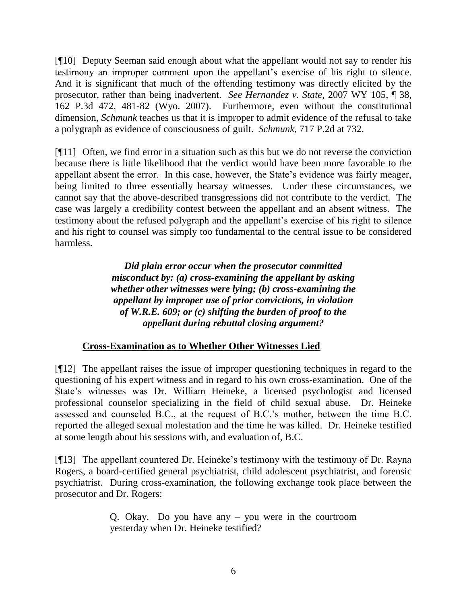[¶10] Deputy Seeman said enough about what the appellant would not say to render his testimony an improper comment upon the appellant's exercise of his right to silence. And it is significant that much of the offending testimony was directly elicited by the prosecutor, rather than being inadvertent. *See Hernandez v. State*, 2007 WY 105, ¶ 38, 162 P.3d 472, 481-82 (Wyo. 2007). Furthermore, even without the constitutional dimension, *Schmunk* teaches us that it is improper to admit evidence of the refusal to take a polygraph as evidence of consciousness of guilt. *Schmunk*, 717 P.2d at 732.

[¶11] Often, we find error in a situation such as this but we do not reverse the conviction because there is little likelihood that the verdict would have been more favorable to the appellant absent the error. In this case, however, the State's evidence was fairly meager, being limited to three essentially hearsay witnesses. Under these circumstances, we cannot say that the above-described transgressions did not contribute to the verdict. The case was largely a credibility contest between the appellant and an absent witness. The testimony about the refused polygraph and the appellant's exercise of his right to silence and his right to counsel was simply too fundamental to the central issue to be considered harmless.

> *Did plain error occur when the prosecutor committed misconduct by: (a) cross-examining the appellant by asking whether other witnesses were lying; (b) cross-examining the appellant by improper use of prior convictions, in violation of W.R.E. 609; or (c) shifting the burden of proof to the appellant during rebuttal closing argument?*

## **Cross-Examination as to Whether Other Witnesses Lied**

[¶12] The appellant raises the issue of improper questioning techniques in regard to the questioning of his expert witness and in regard to his own cross-examination. One of the State's witnesses was Dr. William Heineke, a licensed psychologist and licensed professional counselor specializing in the field of child sexual abuse. Dr. Heineke assessed and counseled B.C., at the request of B.C.'s mother, between the time B.C. reported the alleged sexual molestation and the time he was killed. Dr. Heineke testified at some length about his sessions with, and evaluation of, B.C.

[¶13] The appellant countered Dr. Heineke's testimony with the testimony of Dr. Rayna Rogers, a board-certified general psychiatrist, child adolescent psychiatrist, and forensic psychiatrist. During cross-examination, the following exchange took place between the prosecutor and Dr. Rogers:

> Q. Okay. Do you have any – you were in the courtroom yesterday when Dr. Heineke testified?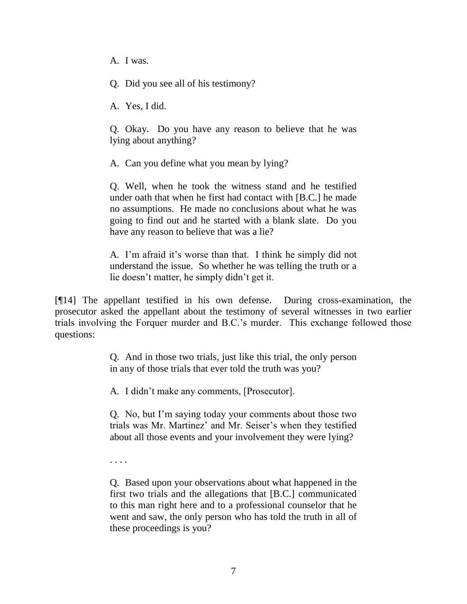A. I was.

Q. Did you see all of his testimony?

A. Yes, I did.

Q. Okay. Do you have any reason to believe that he was lying about anything?

A. Can you define what you mean by lying?

Q. Well, when he took the witness stand and he testified under oath that when he first had contact with [B.C.] he made no assumptions. He made no conclusions about what he was going to find out and he started with a blank slate. Do you have any reason to believe that was a lie?

A. I'm afraid it's worse than that. I think he simply did not understand the issue. So whether he was telling the truth or a lie doesn't matter, he simply didn't get it.

[¶14] The appellant testified in his own defense. During cross-examination, the prosecutor asked the appellant about the testimony of several witnesses in two earlier trials involving the Forquer murder and B.C.'s murder. This exchange followed those questions:

> Q. And in those two trials, just like this trial, the only person in any of those trials that ever told the truth was you?

A. I didn't make any comments, [Prosecutor].

Q. No, but I'm saying today your comments about those two trials was Mr. Martinez' and Mr. Seiser's when they testified about all those events and your involvement they were lying?

. . . .

Q. Based upon your observations about what happened in the first two trials and the allegations that [B.C.] communicated to this man right here and to a professional counselor that he went and saw, the only person who has told the truth in all of these proceedings is you?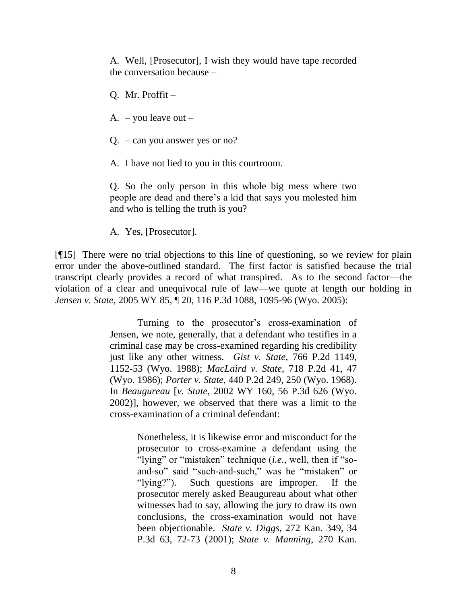A. Well, [Prosecutor], I wish they would have tape recorded the conversation because –

Q. Mr. Proffit –

A. – you leave out –

Q. – can you answer yes or no?

A. I have not lied to you in this courtroom.

Q. So the only person in this whole big mess where two people are dead and there's a kid that says you molested him and who is telling the truth is you?

A. Yes, [Prosecutor].

[¶15] There were no trial objections to this line of questioning, so we review for plain error under the above-outlined standard. The first factor is satisfied because the trial transcript clearly provides a record of what transpired. As to the second factor—the violation of a clear and unequivocal rule of law—we quote at length our holding in *Jensen v. State*, 2005 WY 85, ¶ 20, 116 P.3d 1088, 1095-96 (Wyo. 2005):

> Turning to the prosecutor's cross-examination of Jensen, we note, generally, that a defendant who testifies in a criminal case may be cross-examined regarding his credibility just like any other witness. *Gist v. State*, 766 P.2d 1149, 1152-53 (Wyo. 1988); *MacLaird v. State*, 718 P.2d 41, 47 (Wyo. 1986); *Porter v. State*, 440 P.2d 249, 250 (Wyo. 1968). In *Beaugureau* [*v. State*, 2002 WY 160, 56 P.3d 626 (Wyo. 2002)], however, we observed that there was a limit to the cross-examination of a criminal defendant:

> > Nonetheless, it is likewise error and misconduct for the prosecutor to cross-examine a defendant using the "lying" or "mistaken" technique *(i.e.*, well, then if "soand-so" said "such-and-such," was he "mistaken" or "[ving?"]. Such questions are improper. If the prosecutor merely asked Beaugureau about what other witnesses had to say, allowing the jury to draw its own conclusions, the cross-examination would not have been objectionable. *State v. Diggs*, 272 Kan. 349, 34 P.3d 63, 72-73 (2001); *State v. Manning*, 270 Kan.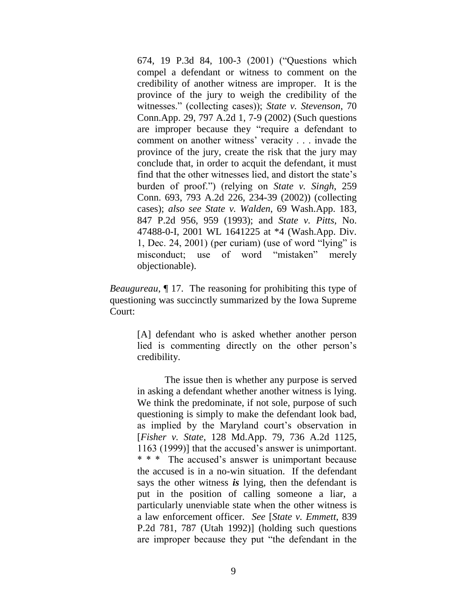674, 19 P.3d 84, 100-3 (2001) ("Questions which compel a defendant or witness to comment on the credibility of another witness are improper. It is the province of the jury to weigh the credibility of the witnesses." (collecting cases)); *State v. Stevenson*, 70 Conn.App. 29, 797 A.2d 1, 7-9 (2002) (Such questions are improper because they "require a defendant to comment on another witness' veracity . . . invade the province of the jury, create the risk that the jury may conclude that, in order to acquit the defendant, it must find that the other witnesses lied, and distort the state's burden of proof.‖) (relying on *State v. Singh*, 259 Conn. 693, 793 A.2d 226, 234-39 (2002)) (collecting cases); *also see State v. Walden*, 69 Wash.App. 183, 847 P.2d 956, 959 (1993); and *State v. Pitts*, No. 47488-0-I, 2001 WL 1641225 at \*4 (Wash.App. Div. 1, Dec. 24, 2001) (per curiam) (use of word "lying" is misconduct; use of word "mistaken" merely objectionable).

*Beaugureau*, ¶ 17. The reasoning for prohibiting this type of questioning was succinctly summarized by the Iowa Supreme Court:

> [A] defendant who is asked whether another person lied is commenting directly on the other person's credibility.

> The issue then is whether any purpose is served in asking a defendant whether another witness is lying. We think the predominate, if not sole, purpose of such questioning is simply to make the defendant look bad, as implied by the Maryland court's observation in [*Fisher v. State*, 128 Md.App. 79, 736 A.2d 1125, 1163 (1999)] that the accused's answer is unimportant. \* \* \* The accused's answer is unimportant because the accused is in a no-win situation. If the defendant says the other witness *is* lying, then the defendant is put in the position of calling someone a liar, a particularly unenviable state when the other witness is a law enforcement officer. *See* [*State v. Emmett*, 839 P.2d 781, 787 (Utah 1992)] (holding such questions are improper because they put "the defendant in the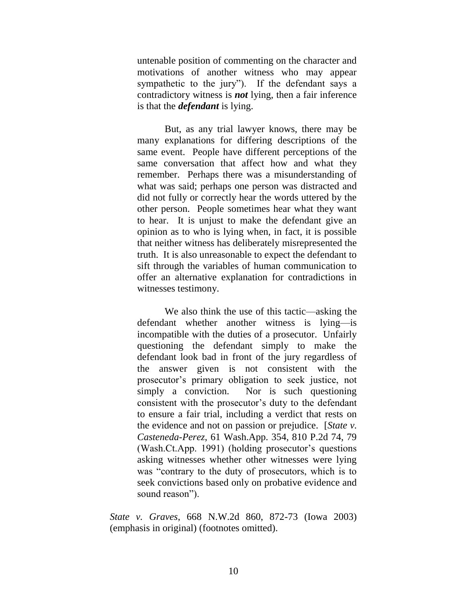untenable position of commenting on the character and motivations of another witness who may appear sympathetic to the jury"). If the defendant says a contradictory witness is *not* lying, then a fair inference is that the *defendant* is lying.

But, as any trial lawyer knows, there may be many explanations for differing descriptions of the same event. People have different perceptions of the same conversation that affect how and what they remember. Perhaps there was a misunderstanding of what was said; perhaps one person was distracted and did not fully or correctly hear the words uttered by the other person. People sometimes hear what they want to hear. It is unjust to make the defendant give an opinion as to who is lying when, in fact, it is possible that neither witness has deliberately misrepresented the truth. It is also unreasonable to expect the defendant to sift through the variables of human communication to offer an alternative explanation for contradictions in witnesses testimony.

We also think the use of this tactic—asking the defendant whether another witness is lying—is incompatible with the duties of a prosecutor. Unfairly questioning the defendant simply to make the defendant look bad in front of the jury regardless of the answer given is not consistent with the prosecutor's primary obligation to seek justice, not simply a conviction. Nor is such questioning consistent with the prosecutor's duty to the defendant to ensure a fair trial, including a verdict that rests on the evidence and not on passion or prejudice. [*State v. Casteneda-Perez*, 61 Wash.App. 354, 810 P.2d 74, 79 (Wash.Ct.App. 1991) (holding prosecutor's questions asking witnesses whether other witnesses were lying was "contrary to the duty of prosecutors, which is to seek convictions based only on probative evidence and sound reason").

*State v. Graves*, 668 N.W.2d 860, 872-73 (Iowa 2003) (emphasis in original) (footnotes omitted).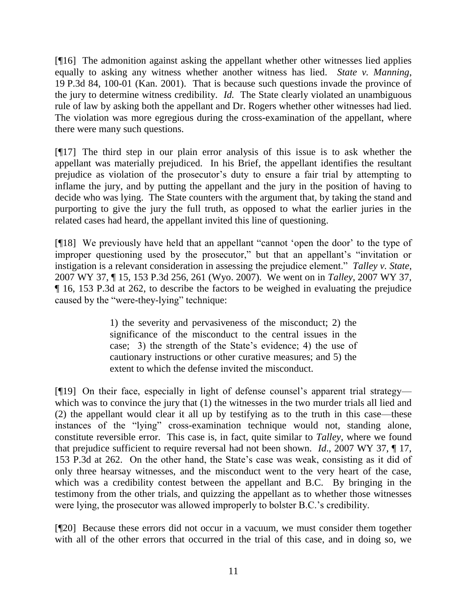[¶16] The admonition against asking the appellant whether other witnesses lied applies equally to asking any witness whether another witness has lied. *State v. Manning*, 19 P.3d 84, 100-01 (Kan. 2001). That is because such questions invade the province of the jury to determine witness credibility. *Id.* The State clearly violated an unambiguous rule of law by asking both the appellant and Dr. Rogers whether other witnesses had lied. The violation was more egregious during the cross-examination of the appellant, where there were many such questions.

[¶17] The third step in our plain error analysis of this issue is to ask whether the appellant was materially prejudiced. In his Brief, the appellant identifies the resultant prejudice as violation of the prosecutor's duty to ensure a fair trial by attempting to inflame the jury, and by putting the appellant and the jury in the position of having to decide who was lying. The State counters with the argument that, by taking the stand and purporting to give the jury the full truth, as opposed to what the earlier juries in the related cases had heard, the appellant invited this line of questioning.

[¶18] We previously have held that an appellant "cannot 'open the door' to the type of improper questioning used by the prosecutor," but that an appellant's "invitation or instigation is a relevant consideration in assessing the prejudice element." *Talley v. State*, 2007 WY 37, ¶ 15, 153 P.3d 256, 261 (Wyo. 2007). We went on in *Talley*, 2007 WY 37, ¶ 16, 153 P.3d at 262, to describe the factors to be weighed in evaluating the prejudice caused by the "were-they-lying" technique:

> 1) the severity and pervasiveness of the misconduct; 2) the significance of the misconduct to the central issues in the case; 3) the strength of the State's evidence; 4) the use of cautionary instructions or other curative measures; and 5) the extent to which the defense invited the misconduct.

[¶19] On their face, especially in light of defense counsel's apparent trial strategy which was to convince the jury that (1) the witnesses in the two murder trials all lied and (2) the appellant would clear it all up by testifying as to the truth in this case—these instances of the "lying" cross-examination technique would not, standing alone, constitute reversible error. This case is, in fact, quite similar to *Talley*, where we found that prejudice sufficient to require reversal had not been shown. *Id*., 2007 WY 37, ¶ 17, 153 P.3d at 262. On the other hand, the State's case was weak, consisting as it did of only three hearsay witnesses, and the misconduct went to the very heart of the case, which was a credibility contest between the appellant and B.C. By bringing in the testimony from the other trials, and quizzing the appellant as to whether those witnesses were lying, the prosecutor was allowed improperly to bolster B.C.'s credibility.

[¶20] Because these errors did not occur in a vacuum, we must consider them together with all of the other errors that occurred in the trial of this case, and in doing so, we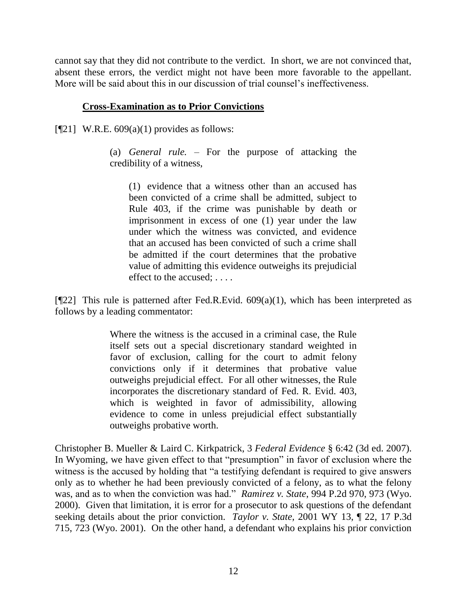cannot say that they did not contribute to the verdict. In short, we are not convinced that, absent these errors, the verdict might not have been more favorable to the appellant. More will be said about this in our discussion of trial counsel's ineffectiveness.

#### **Cross-Examination as to Prior Convictions**

 $[$ [[21] W.R.E. 609(a)(1) provides as follows:

(a) *General rule.* – For the purpose of attacking the credibility of a witness,

(1) evidence that a witness other than an accused has been convicted of a crime shall be admitted, subject to Rule 403, if the crime was punishable by death or imprisonment in excess of one (1) year under the law under which the witness was convicted, and evidence that an accused has been convicted of such a crime shall be admitted if the court determines that the probative value of admitting this evidence outweighs its prejudicial effect to the accused; . . . .

[ $[$ 22] This rule is patterned after Fed.R.Evid. 609(a)(1), which has been interpreted as follows by a leading commentator:

> Where the witness is the accused in a criminal case, the Rule itself sets out a special discretionary standard weighted in favor of exclusion, calling for the court to admit felony convictions only if it determines that probative value outweighs prejudicial effect. For all other witnesses, the Rule incorporates the discretionary standard of Fed. R. Evid. 403, which is weighted in favor of admissibility, allowing evidence to come in unless prejudicial effect substantially outweighs probative worth.

Christopher B. Mueller & Laird C. Kirkpatrick, 3 *Federal Evidence* § 6:42 (3d ed. 2007). In Wyoming, we have given effect to that "presumption" in favor of exclusion where the witness is the accused by holding that "a testifying defendant is required to give answers only as to whether he had been previously convicted of a felony, as to what the felony was, and as to when the conviction was had." *Ramirez v. State*, 994 P.2d 970, 973 (Wyo. 2000). Given that limitation, it is error for a prosecutor to ask questions of the defendant seeking details about the prior conviction. *Taylor v. State,* 2001 WY 13, ¶ 22, 17 P.3d 715, 723 (Wyo. 2001). On the other hand, a defendant who explains his prior conviction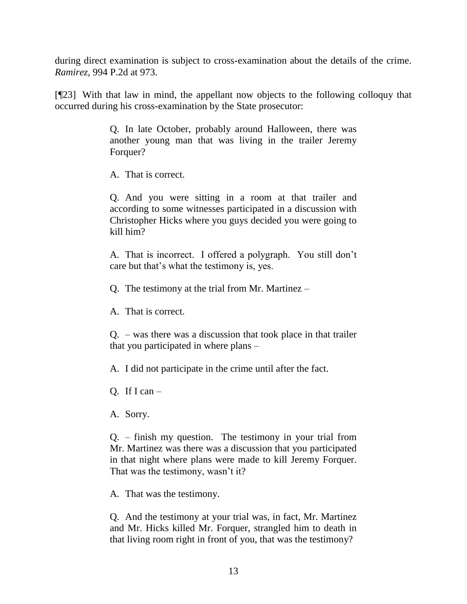during direct examination is subject to cross-examination about the details of the crime. *Ramirez*, 994 P.2d at 973.

[¶23] With that law in mind, the appellant now objects to the following colloquy that occurred during his cross-examination by the State prosecutor:

> Q. In late October, probably around Halloween, there was another young man that was living in the trailer Jeremy Forquer?

A. That is correct.

Q. And you were sitting in a room at that trailer and according to some witnesses participated in a discussion with Christopher Hicks where you guys decided you were going to kill him?

A. That is incorrect. I offered a polygraph. You still don't care but that's what the testimony is, yes.

Q. The testimony at the trial from Mr. Martinez –

A. That is correct.

Q. – was there was a discussion that took place in that trailer that you participated in where plans –

A. I did not participate in the crime until after the fact.

Q. If I can  $-$ 

A. Sorry.

Q. – finish my question. The testimony in your trial from Mr. Martinez was there was a discussion that you participated in that night where plans were made to kill Jeremy Forquer. That was the testimony, wasn't it?

A. That was the testimony.

Q. And the testimony at your trial was, in fact, Mr. Martinez and Mr. Hicks killed Mr. Forquer, strangled him to death in that living room right in front of you, that was the testimony?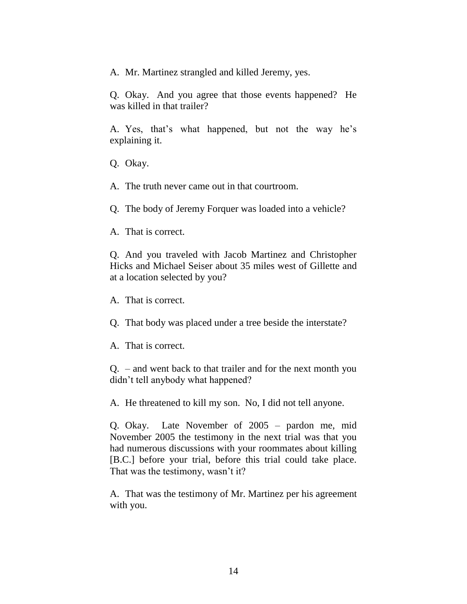A. Mr. Martinez strangled and killed Jeremy, yes.

Q. Okay. And you agree that those events happened? He was killed in that trailer?

A. Yes, that's what happened, but not the way he's explaining it.

Q. Okay.

A. The truth never came out in that courtroom.

Q. The body of Jeremy Forquer was loaded into a vehicle?

A. That is correct.

Q. And you traveled with Jacob Martinez and Christopher Hicks and Michael Seiser about 35 miles west of Gillette and at a location selected by you?

A. That is correct.

Q. That body was placed under a tree beside the interstate?

A. That is correct.

Q. – and went back to that trailer and for the next month you didn't tell anybody what happened?

A. He threatened to kill my son. No, I did not tell anyone.

Q. Okay. Late November of 2005 – pardon me, mid November 2005 the testimony in the next trial was that you had numerous discussions with your roommates about killing [B.C.] before your trial, before this trial could take place. That was the testimony, wasn't it?

A. That was the testimony of Mr. Martinez per his agreement with you.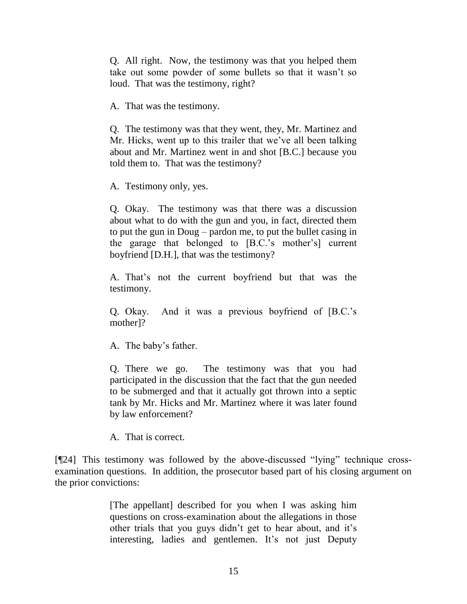Q. All right. Now, the testimony was that you helped them take out some powder of some bullets so that it wasn't so loud. That was the testimony, right?

A. That was the testimony.

Q. The testimony was that they went, they, Mr. Martinez and Mr. Hicks, went up to this trailer that we've all been talking about and Mr. Martinez went in and shot [B.C.] because you told them to. That was the testimony?

A. Testimony only, yes.

Q. Okay. The testimony was that there was a discussion about what to do with the gun and you, in fact, directed them to put the gun in Doug – pardon me, to put the bullet casing in the garage that belonged to [B.C.'s mother's] current boyfriend [D.H.], that was the testimony?

A. That's not the current boyfriend but that was the testimony.

Q. Okay. And it was a previous boyfriend of [B.C.'s mother]?

A. The baby's father.

Q. There we go. The testimony was that you had participated in the discussion that the fact that the gun needed to be submerged and that it actually got thrown into a septic tank by Mr. Hicks and Mr. Martinez where it was later found by law enforcement?

A. That is correct.

 $[$ [24] This testimony was followed by the above-discussed "lying" technique crossexamination questions. In addition, the prosecutor based part of his closing argument on the prior convictions:

> [The appellant] described for you when I was asking him questions on cross-examination about the allegations in those other trials that you guys didn't get to hear about, and it's interesting, ladies and gentlemen. It's not just Deputy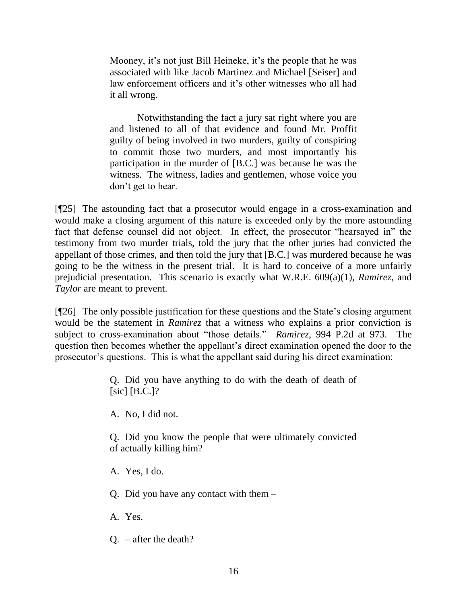Mooney, it's not just Bill Heineke, it's the people that he was associated with like Jacob Martinez and Michael [Seiser] and law enforcement officers and it's other witnesses who all had it all wrong.

Notwithstanding the fact a jury sat right where you are and listened to all of that evidence and found Mr. Proffit guilty of being involved in two murders, guilty of conspiring to commit those two murders, and most importantly his participation in the murder of [B.C.] was because he was the witness. The witness, ladies and gentlemen, whose voice you don't get to hear.

[¶25] The astounding fact that a prosecutor would engage in a cross-examination and would make a closing argument of this nature is exceeded only by the more astounding fact that defense counsel did not object. In effect, the prosecutor "hearsayed in" the testimony from two murder trials, told the jury that the other juries had convicted the appellant of those crimes, and then told the jury that [B.C.] was murdered because he was going to be the witness in the present trial. It is hard to conceive of a more unfairly prejudicial presentation. This scenario is exactly what W.R.E. 609(a)(1), *Ramirez*, and *Taylor* are meant to prevent.

[¶26] The only possible justification for these questions and the State's closing argument would be the statement in *Ramirez* that a witness who explains a prior conviction is subject to cross-examination about "those details." *Ramirez*, 994 P.2d at 973. The question then becomes whether the appellant's direct examination opened the door to the prosecutor's questions. This is what the appellant said during his direct examination:

> Q. Did you have anything to do with the death of death of [sic] [B.C.]?

A. No, I did not.

Q. Did you know the people that were ultimately convicted of actually killing him?

A. Yes, I do.

Q. Did you have any contact with them –

A. Yes.

Q. – after the death?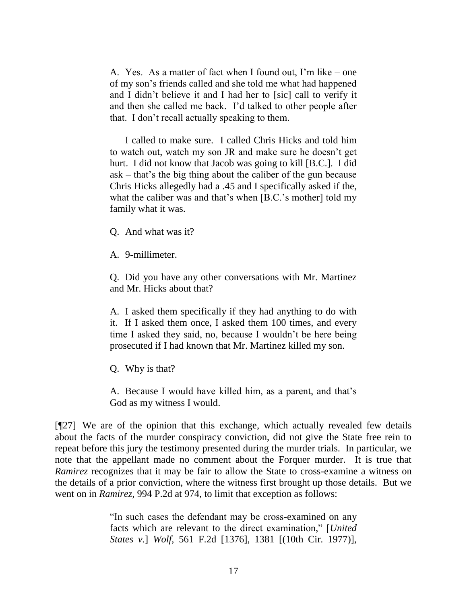A. Yes. As a matter of fact when I found out, I'm like – one of my son's friends called and she told me what had happened and I didn't believe it and I had her to [sic] call to verify it and then she called me back. I'd talked to other people after that. I don't recall actually speaking to them.

I called to make sure. I called Chris Hicks and told him to watch out, watch my son JR and make sure he doesn't get hurt. I did not know that Jacob was going to kill [B.C.]. I did ask – that's the big thing about the caliber of the gun because Chris Hicks allegedly had a .45 and I specifically asked if the, what the caliber was and that's when [B.C.'s mother] told my family what it was.

Q. And what was it?

A. 9-millimeter.

Q. Did you have any other conversations with Mr. Martinez and Mr. Hicks about that?

A. I asked them specifically if they had anything to do with it. If I asked them once, I asked them 100 times, and every time I asked they said, no, because I wouldn't be here being prosecuted if I had known that Mr. Martinez killed my son.

Q. Why is that?

A. Because I would have killed him, as a parent, and that's God as my witness I would.

[¶27] We are of the opinion that this exchange, which actually revealed few details about the facts of the murder conspiracy conviction, did not give the State free rein to repeat before this jury the testimony presented during the murder trials. In particular, we note that the appellant made no comment about the Forquer murder. It is true that *Ramirez* recognizes that it may be fair to allow the State to cross-examine a witness on the details of a prior conviction, where the witness first brought up those details. But we went on in *Ramirez,* 994 P.2d at 974, to limit that exception as follows:

> ―In such cases the defendant may be cross-examined on any facts which are relevant to the direct examination," [*United States v.*] *Wolf*, 561 F.2d [1376], 1381 [(10th Cir. 1977)],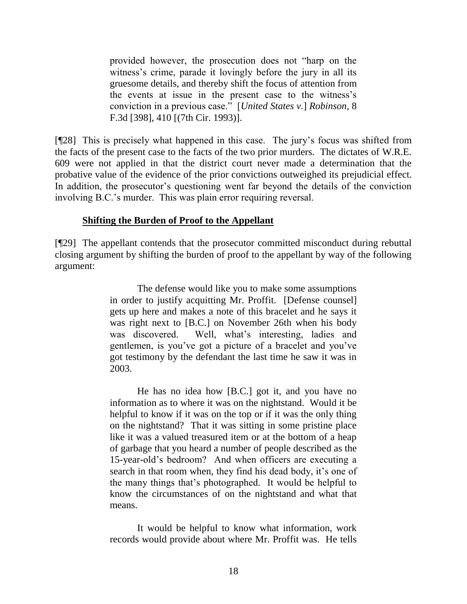provided however, the prosecution does not "harp on the witness's crime, parade it lovingly before the jury in all its gruesome details, and thereby shift the focus of attention from the events at issue in the present case to the witness's conviction in a previous case.‖ [*United States v.*] *Robinson*, 8 F.3d [398], 410 [(7th Cir. 1993)].

[¶28] This is precisely what happened in this case. The jury's focus was shifted from the facts of the present case to the facts of the two prior murders. The dictates of W.R.E. 609 were not applied in that the district court never made a determination that the probative value of the evidence of the prior convictions outweighed its prejudicial effect. In addition, the prosecutor's questioning went far beyond the details of the conviction involving B.C.'s murder. This was plain error requiring reversal.

#### **Shifting the Burden of Proof to the Appellant**

[¶29] The appellant contends that the prosecutor committed misconduct during rebuttal closing argument by shifting the burden of proof to the appellant by way of the following argument:

> The defense would like you to make some assumptions in order to justify acquitting Mr. Proffit. [Defense counsel] gets up here and makes a note of this bracelet and he says it was right next to [B.C.] on November 26th when his body was discovered. Well, what's interesting, ladies and gentlemen, is you've got a picture of a bracelet and you've got testimony by the defendant the last time he saw it was in 2003.

> He has no idea how [B.C.] got it, and you have no information as to where it was on the nightstand. Would it be helpful to know if it was on the top or if it was the only thing on the nightstand? That it was sitting in some pristine place like it was a valued treasured item or at the bottom of a heap of garbage that you heard a number of people described as the 15-year-old's bedroom? And when officers are executing a search in that room when, they find his dead body, it's one of the many things that's photographed. It would be helpful to know the circumstances of on the nightstand and what that means.

> It would be helpful to know what information, work records would provide about where Mr. Proffit was. He tells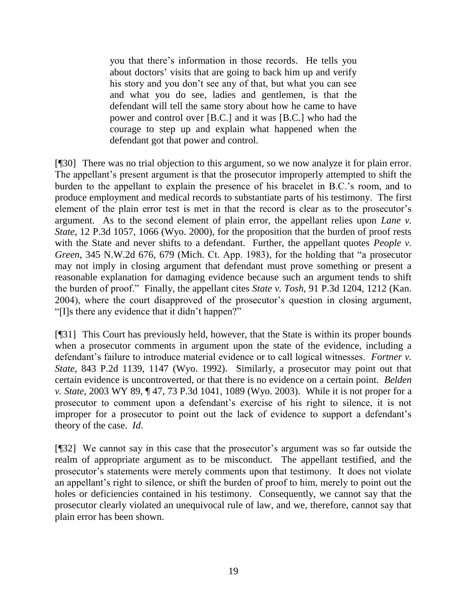you that there's information in those records. He tells you about doctors' visits that are going to back him up and verify his story and you don't see any of that, but what you can see and what you do see, ladies and gentlemen, is that the defendant will tell the same story about how he came to have power and control over [B.C.] and it was [B.C.] who had the courage to step up and explain what happened when the defendant got that power and control.

[¶30] There was no trial objection to this argument, so we now analyze it for plain error. The appellant's present argument is that the prosecutor improperly attempted to shift the burden to the appellant to explain the presence of his bracelet in B.C.'s room, and to produce employment and medical records to substantiate parts of his testimony. The first element of the plain error test is met in that the record is clear as to the prosecutor's argument. As to the second element of plain error, the appellant relies upon *Lane v. State*, 12 P.3d 1057, 1066 (Wyo. 2000), for the proposition that the burden of proof rests with the State and never shifts to a defendant. Further, the appellant quotes *People v*. *Green*, 345 N.W.2d 676, 679 (Mich. Ct. App. 1983), for the holding that "a prosecutor may not imply in closing argument that defendant must prove something or present a reasonable explanation for damaging evidence because such an argument tends to shift the burden of proof.‖ Finally, the appellant cites *State v. Tosh*, 91 P.3d 1204, 1212 (Kan. 2004), where the court disapproved of the prosecutor's question in closing argument, "I'lls there any evidence that it didn't happen?"

[¶31] This Court has previously held, however, that the State is within its proper bounds when a prosecutor comments in argument upon the state of the evidence, including a defendant's failure to introduce material evidence or to call logical witnesses. *Fortner v. State*, 843 P.2d 1139, 1147 (Wyo. 1992). Similarly, a prosecutor may point out that certain evidence is uncontroverted, or that there is no evidence on a certain point. *Belden v. State*, 2003 WY 89, ¶ 47, 73 P.3d 1041, 1089 (Wyo. 2003). While it is not proper for a prosecutor to comment upon a defendant's exercise of his right to silence, it is not improper for a prosecutor to point out the lack of evidence to support a defendant's theory of the case. *Id*.

[¶32] We cannot say in this case that the prosecutor's argument was so far outside the realm of appropriate argument as to be misconduct. The appellant testified, and the prosecutor's statements were merely comments upon that testimony. It does not violate an appellant's right to silence, or shift the burden of proof to him, merely to point out the holes or deficiencies contained in his testimony. Consequently, we cannot say that the prosecutor clearly violated an unequivocal rule of law, and we, therefore, cannot say that plain error has been shown.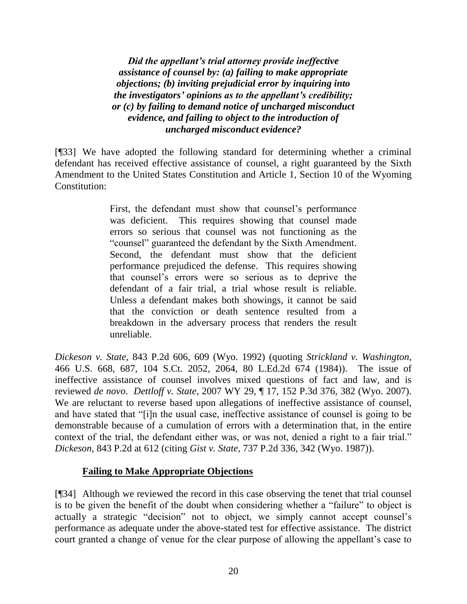*Did the appellant's trial attorney provide ineffective assistance of counsel by: (a) failing to make appropriate objections; (b) inviting prejudicial error by inquiring into the investigators' opinions as to the appellant's credibility; or (c) by failing to demand notice of uncharged misconduct evidence, and failing to object to the introduction of uncharged misconduct evidence?*

[¶33] We have adopted the following standard for determining whether a criminal defendant has received effective assistance of counsel, a right guaranteed by the Sixth Amendment to the United States Constitution and Article 1, Section 10 of the Wyoming Constitution:

> First, the defendant must show that counsel's performance was deficient. This requires showing that counsel made errors so serious that counsel was not functioning as the ―counsel‖ guaranteed the defendant by the Sixth Amendment. Second, the defendant must show that the deficient performance prejudiced the defense. This requires showing that counsel's errors were so serious as to deprive the defendant of a fair trial, a trial whose result is reliable. Unless a defendant makes both showings, it cannot be said that the conviction or death sentence resulted from a breakdown in the adversary process that renders the result unreliable.

*Dickeson v. State*, 843 P.2d 606, 609 (Wyo. 1992) (quoting *Strickland v. Washington*, 466 U.S. 668, 687, 104 S.Ct. 2052, 2064, 80 L.Ed.2d 674 (1984)). The issue of ineffective assistance of counsel involves mixed questions of fact and law, and is reviewed *de novo*. *Dettloff v. State*, 2007 WY 29, ¶ 17, 152 P.3d 376, 382 (Wyo. 2007). We are reluctant to reverse based upon allegations of ineffective assistance of counsel, and have stated that "[i]n the usual case, ineffective assistance of counsel is going to be demonstrable because of a cumulation of errors with a determination that, in the entire context of the trial, the defendant either was, or was not, denied a right to a fair trial." *Dickeson*, 843 P.2d at 612 (citing *Gist v. State*, 737 P.2d 336, 342 (Wyo. 1987)).

## **Failing to Make Appropriate Objections**

[¶34] Although we reviewed the record in this case observing the tenet that trial counsel is to be given the benefit of the doubt when considering whether a "failure" to object is actually a strategic "decision" not to object, we simply cannot accept counsel's performance as adequate under the above-stated test for effective assistance. The district court granted a change of venue for the clear purpose of allowing the appellant's case to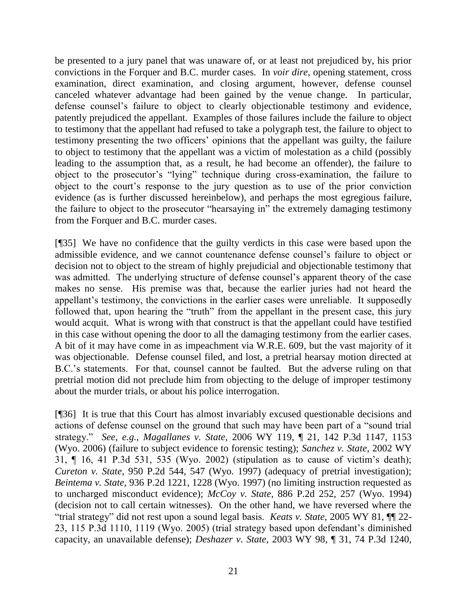be presented to a jury panel that was unaware of, or at least not prejudiced by, his prior convictions in the Forquer and B.C. murder cases. In *voir dire*, opening statement, cross examination, direct examination, and closing argument, however, defense counsel canceled whatever advantage had been gained by the venue change. In particular, defense counsel's failure to object to clearly objectionable testimony and evidence, patently prejudiced the appellant. Examples of those failures include the failure to object to testimony that the appellant had refused to take a polygraph test, the failure to object to testimony presenting the two officers' opinions that the appellant was guilty, the failure to object to testimony that the appellant was a victim of molestation as a child (possibly leading to the assumption that, as a result, he had become an offender), the failure to object to the prosecutor's "lying" technique during cross-examination, the failure to object to the court's response to the jury question as to use of the prior conviction evidence (as is further discussed hereinbelow), and perhaps the most egregious failure, the failure to object to the prosecutor "hearsaying in" the extremely damaging testimony from the Forquer and B.C. murder cases.

[¶35] We have no confidence that the guilty verdicts in this case were based upon the admissible evidence, and we cannot countenance defense counsel's failure to object or decision not to object to the stream of highly prejudicial and objectionable testimony that was admitted. The underlying structure of defense counsel's apparent theory of the case makes no sense. His premise was that, because the earlier juries had not heard the appellant's testimony, the convictions in the earlier cases were unreliable. It supposedly followed that, upon hearing the "truth" from the appellant in the present case, this jury would acquit. What is wrong with that construct is that the appellant could have testified in this case without opening the door to all the damaging testimony from the earlier cases. A bit of it may have come in as impeachment via W.R.E. 609, but the vast majority of it was objectionable. Defense counsel filed, and lost, a pretrial hearsay motion directed at B.C.'s statements. For that, counsel cannot be faulted. But the adverse ruling on that pretrial motion did not preclude him from objecting to the deluge of improper testimony about the murder trials, or about his police interrogation.

[¶36] It is true that this Court has almost invariably excused questionable decisions and actions of defense counsel on the ground that such may have been part of a "sound trial" strategy.‖ *See*, *e.g.*, *Magallanes v. State*, 2006 WY 119, ¶ 21, 142 P.3d 1147, 1153 (Wyo. 2006) (failure to subject evidence to forensic testing); *Sanchez v. State*, 2002 WY 31, ¶ 16, 41 P.3d 531, 535 (Wyo. 2002) (stipulation as to cause of victim's death); *Cureton v. State*, 950 P.2d 544, 547 (Wyo. 1997) (adequacy of pretrial investigation); *Beintema v. State*, 936 P.2d 1221, 1228 (Wyo. 1997) (no limiting instruction requested as to uncharged misconduct evidence); *McCoy v. State*, 886 P.2d 252, 257 (Wyo. 1994) (decision not to call certain witnesses). On the other hand, we have reversed where the ―trial strategy‖ did not rest upon a sound legal basis. *Keats v. State*, 2005 WY 81, ¶¶ 22- 23, 115 P.3d 1110, 1119 (Wyo. 2005) (trial strategy based upon defendant's diminished capacity, an unavailable defense); *Deshazer v. State*, 2003 WY 98, ¶ 31, 74 P.3d 1240,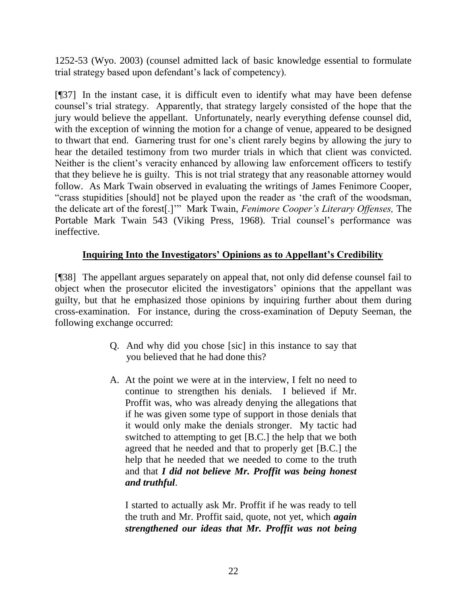1252-53 (Wyo. 2003) (counsel admitted lack of basic knowledge essential to formulate trial strategy based upon defendant's lack of competency).

[¶37] In the instant case, it is difficult even to identify what may have been defense counsel's trial strategy. Apparently, that strategy largely consisted of the hope that the jury would believe the appellant. Unfortunately, nearly everything defense counsel did, with the exception of winning the motion for a change of venue, appeared to be designed to thwart that end. Garnering trust for one's client rarely begins by allowing the jury to hear the detailed testimony from two murder trials in which that client was convicted. Neither is the client's veracity enhanced by allowing law enforcement officers to testify that they believe he is guilty. This is not trial strategy that any reasonable attorney would follow. As Mark Twain observed in evaluating the writings of James Fenimore Cooper, ―crass stupidities [should] not be played upon the reader as ‗the craft of the woodsman, the delicate art of the forest[.]'" Mark Twain, *Fenimore Cooper's Literary Offenses*, The Portable Mark Twain 543 (Viking Press, 1968). Trial counsel's performance was ineffective.

# **Inquiring Into the Investigators' Opinions as to Appellant's Credibility**

[¶38] The appellant argues separately on appeal that, not only did defense counsel fail to object when the prosecutor elicited the investigators' opinions that the appellant was guilty, but that he emphasized those opinions by inquiring further about them during cross-examination. For instance, during the cross-examination of Deputy Seeman, the following exchange occurred:

- Q. And why did you chose [sic] in this instance to say that you believed that he had done this?
- A. At the point we were at in the interview, I felt no need to continue to strengthen his denials. I believed if Mr. Proffit was, who was already denying the allegations that if he was given some type of support in those denials that it would only make the denials stronger. My tactic had switched to attempting to get [B.C.] the help that we both agreed that he needed and that to properly get [B.C.] the help that he needed that we needed to come to the truth and that *I did not believe Mr. Proffit was being honest and truthful*.

I started to actually ask Mr. Proffit if he was ready to tell the truth and Mr. Proffit said, quote, not yet, which *again strengthened our ideas that Mr. Proffit was not being*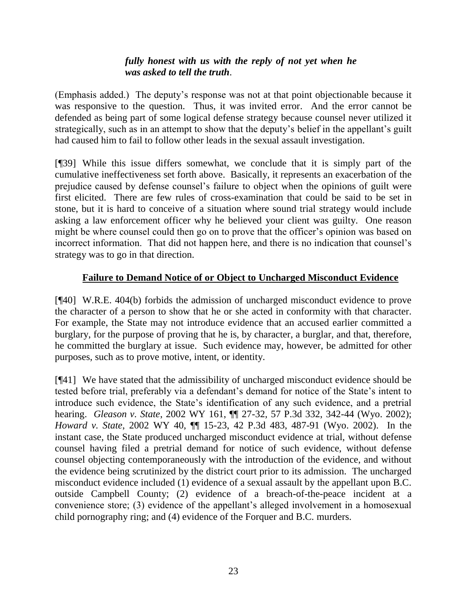## *fully honest with us with the reply of not yet when he was asked to tell the truth*.

(Emphasis added.) The deputy's response was not at that point objectionable because it was responsive to the question. Thus, it was invited error. And the error cannot be defended as being part of some logical defense strategy because counsel never utilized it strategically, such as in an attempt to show that the deputy's belief in the appellant's guilt had caused him to fail to follow other leads in the sexual assault investigation.

[¶39] While this issue differs somewhat, we conclude that it is simply part of the cumulative ineffectiveness set forth above. Basically, it represents an exacerbation of the prejudice caused by defense counsel's failure to object when the opinions of guilt were first elicited. There are few rules of cross-examination that could be said to be set in stone, but it is hard to conceive of a situation where sound trial strategy would include asking a law enforcement officer why he believed your client was guilty. One reason might be where counsel could then go on to prove that the officer's opinion was based on incorrect information. That did not happen here, and there is no indication that counsel's strategy was to go in that direction.

## **Failure to Demand Notice of or Object to Uncharged Misconduct Evidence**

[¶40] W.R.E. 404(b) forbids the admission of uncharged misconduct evidence to prove the character of a person to show that he or she acted in conformity with that character. For example, the State may not introduce evidence that an accused earlier committed a burglary, for the purpose of proving that he is, by character, a burglar, and that, therefore, he committed the burglary at issue. Such evidence may, however, be admitted for other purposes, such as to prove motive, intent, or identity.

[¶41] We have stated that the admissibility of uncharged misconduct evidence should be tested before trial, preferably via a defendant's demand for notice of the State's intent to introduce such evidence, the State's identification of any such evidence, and a pretrial hearing. *Gleason v. State*, 2002 WY 161, ¶¶ 27-32, 57 P.3d 332, 342-44 (Wyo. 2002); *Howard v. State*, 2002 WY 40, ¶¶ 15-23, 42 P.3d 483, 487-91 (Wyo. 2002). In the instant case, the State produced uncharged misconduct evidence at trial, without defense counsel having filed a pretrial demand for notice of such evidence, without defense counsel objecting contemporaneously with the introduction of the evidence, and without the evidence being scrutinized by the district court prior to its admission. The uncharged misconduct evidence included (1) evidence of a sexual assault by the appellant upon B.C. outside Campbell County; (2) evidence of a breach-of-the-peace incident at a convenience store; (3) evidence of the appellant's alleged involvement in a homosexual child pornography ring; and (4) evidence of the Forquer and B.C. murders.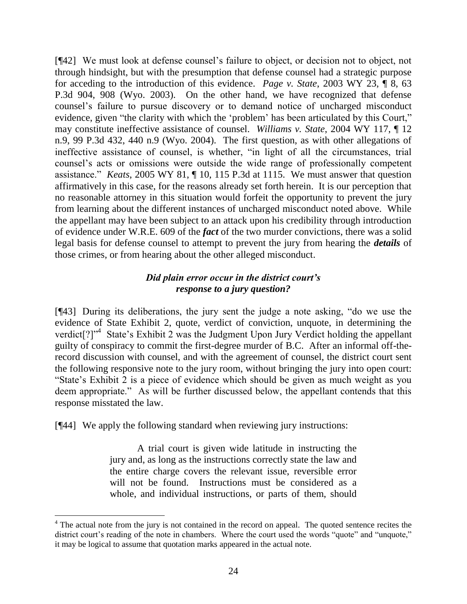[¶42] We must look at defense counsel's failure to object, or decision not to object, not through hindsight, but with the presumption that defense counsel had a strategic purpose for acceding to the introduction of this evidence. *Page v. State*, 2003 WY 23, ¶ 8, 63 P.3d 904, 908 (Wyo. 2003). On the other hand, we have recognized that defense counsel's failure to pursue discovery or to demand notice of uncharged misconduct evidence, given "the clarity with which the 'problem' has been articulated by this Court," may constitute ineffective assistance of counsel. *Williams v. State*, 2004 WY 117, ¶ 12 n.9, 99 P.3d 432, 440 n.9 (Wyo. 2004). The first question, as with other allegations of ineffective assistance of counsel, is whether, "in light of all the circumstances, trial counsel's acts or omissions were outside the wide range of professionally competent assistance.‖ *Keats*, 2005 WY 81, ¶ 10, 115 P.3d at 1115. We must answer that question affirmatively in this case, for the reasons already set forth herein. It is our perception that no reasonable attorney in this situation would forfeit the opportunity to prevent the jury from learning about the different instances of uncharged misconduct noted above. While the appellant may have been subject to an attack upon his credibility through introduction of evidence under W.R.E. 609 of the *fact* of the two murder convictions, there was a solid legal basis for defense counsel to attempt to prevent the jury from hearing the *details* of those crimes, or from hearing about the other alleged misconduct.

## *Did plain error occur in the district court's response to a jury question?*

 $[943]$  During its deliberations, the jury sent the judge a note asking, "do we use the evidence of State Exhibit 2, quote, verdict of conviction, unquote, in determining the verdict[?]"<sup>4</sup> State's Exhibit 2 was the Judgment Upon Jury Verdict holding the appellant guilty of conspiracy to commit the first-degree murder of B.C. After an informal off-therecord discussion with counsel, and with the agreement of counsel, the district court sent the following responsive note to the jury room, without bringing the jury into open court: ―State's Exhibit 2 is a piece of evidence which should be given as much weight as you deem appropriate." As will be further discussed below, the appellant contends that this response misstated the law.

[¶44] We apply the following standard when reviewing jury instructions:

A trial court is given wide latitude in instructing the jury and, as long as the instructions correctly state the law and the entire charge covers the relevant issue, reversible error will not be found. Instructions must be considered as a whole, and individual instructions, or parts of them, should

 $4$  The actual note from the jury is not contained in the record on appeal. The quoted sentence recites the district court's reading of the note in chambers. Where the court used the words "quote" and "unquote," it may be logical to assume that quotation marks appeared in the actual note.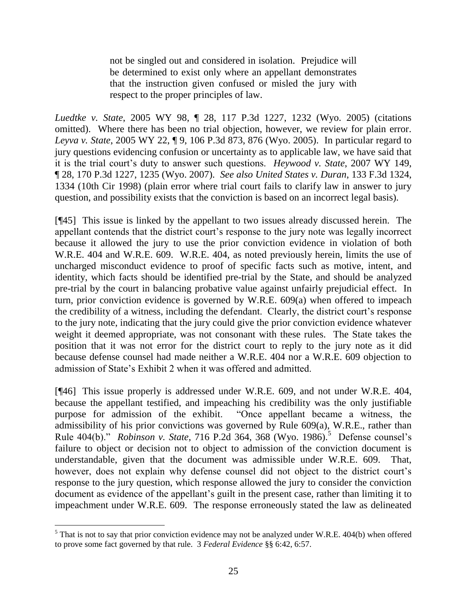not be singled out and considered in isolation. Prejudice will be determined to exist only where an appellant demonstrates that the instruction given confused or misled the jury with respect to the proper principles of law.

*Luedtke v. State*, 2005 WY 98, ¶ 28, 117 P.3d 1227, 1232 (Wyo. 2005) (citations omitted). Where there has been no trial objection, however, we review for plain error. *Leyva v. State*, 2005 WY 22, ¶ 9, 106 P.3d 873, 876 (Wyo. 2005). In particular regard to jury questions evidencing confusion or uncertainty as to applicable law, we have said that it is the trial court's duty to answer such questions. *Heywood v. State*, 2007 WY 149, ¶ 28, 170 P.3d 1227, 1235 (Wyo. 2007). *See also United States v. Duran*, 133 F.3d 1324, 1334 (10th Cir 1998) (plain error where trial court fails to clarify law in answer to jury question, and possibility exists that the conviction is based on an incorrect legal basis).

[¶45] This issue is linked by the appellant to two issues already discussed herein. The appellant contends that the district court's response to the jury note was legally incorrect because it allowed the jury to use the prior conviction evidence in violation of both W.R.E. 404 and W.R.E. 609. W.R.E. 404, as noted previously herein, limits the use of uncharged misconduct evidence to proof of specific facts such as motive, intent, and identity, which facts should be identified pre-trial by the State, and should be analyzed pre-trial by the court in balancing probative value against unfairly prejudicial effect. In turn, prior conviction evidence is governed by W.R.E. 609(a) when offered to impeach the credibility of a witness, including the defendant. Clearly, the district court's response to the jury note, indicating that the jury could give the prior conviction evidence whatever weight it deemed appropriate, was not consonant with these rules. The State takes the position that it was not error for the district court to reply to the jury note as it did because defense counsel had made neither a W.R.E. 404 nor a W.R.E. 609 objection to admission of State's Exhibit 2 when it was offered and admitted.

[¶46] This issue properly is addressed under W.R.E. 609, and not under W.R.E. 404, because the appellant testified, and impeaching his credibility was the only justifiable purpose for admission of the exhibit. 
"Once appellant became a witness, the admissibility of his prior convictions was governed by Rule 609(a), W.R.E., rather than Rule 404(b)." *Robinson v. State*, 716 P.2d 364, 368 (Wyo. 1986).<sup>5</sup> Defense counsel's failure to object or decision not to object to admission of the conviction document is understandable, given that the document was admissible under W.R.E. 609. That, however, does not explain why defense counsel did not object to the district court's response to the jury question, which response allowed the jury to consider the conviction document as evidence of the appellant's guilt in the present case, rather than limiting it to impeachment under W.R.E. 609. The response erroneously stated the law as delineated

 $5$  That is not to say that prior conviction evidence may not be analyzed under W.R.E. 404(b) when offered to prove some fact governed by that rule. 3 *Federal Evidence* §§ 6:42, 6:57.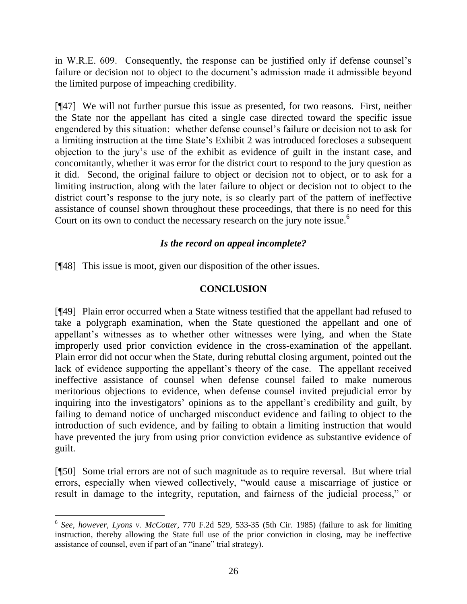in W.R.E. 609. Consequently, the response can be justified only if defense counsel's failure or decision not to object to the document's admission made it admissible beyond the limited purpose of impeaching credibility.

[¶47] We will not further pursue this issue as presented, for two reasons. First, neither the State nor the appellant has cited a single case directed toward the specific issue engendered by this situation: whether defense counsel's failure or decision not to ask for a limiting instruction at the time State's Exhibit 2 was introduced forecloses a subsequent objection to the jury's use of the exhibit as evidence of guilt in the instant case, and concomitantly, whether it was error for the district court to respond to the jury question as it did. Second, the original failure to object or decision not to object, or to ask for a limiting instruction, along with the later failure to object or decision not to object to the district court's response to the jury note, is so clearly part of the pattern of ineffective assistance of counsel shown throughout these proceedings, that there is no need for this Court on its own to conduct the necessary research on the jury note issue.<sup>6</sup>

## *Is the record on appeal incomplete?*

[¶48] This issue is moot, given our disposition of the other issues.

## **CONCLUSION**

[¶49] Plain error occurred when a State witness testified that the appellant had refused to take a polygraph examination, when the State questioned the appellant and one of appellant's witnesses as to whether other witnesses were lying, and when the State improperly used prior conviction evidence in the cross-examination of the appellant. Plain error did not occur when the State, during rebuttal closing argument, pointed out the lack of evidence supporting the appellant's theory of the case. The appellant received ineffective assistance of counsel when defense counsel failed to make numerous meritorious objections to evidence, when defense counsel invited prejudicial error by inquiring into the investigators' opinions as to the appellant's credibility and guilt, by failing to demand notice of uncharged misconduct evidence and failing to object to the introduction of such evidence, and by failing to obtain a limiting instruction that would have prevented the jury from using prior conviction evidence as substantive evidence of guilt.

[¶50] Some trial errors are not of such magnitude as to require reversal. But where trial errors, especially when viewed collectively, "would cause a miscarriage of justice or result in damage to the integrity, reputation, and fairness of the judicial process," or

<sup>6</sup> *See, however, Lyons v. McCotter*, 770 F.2d 529, 533-35 (5th Cir. 1985) (failure to ask for limiting instruction, thereby allowing the State full use of the prior conviction in closing, may be ineffective assistance of counsel, even if part of an "inane" trial strategy).